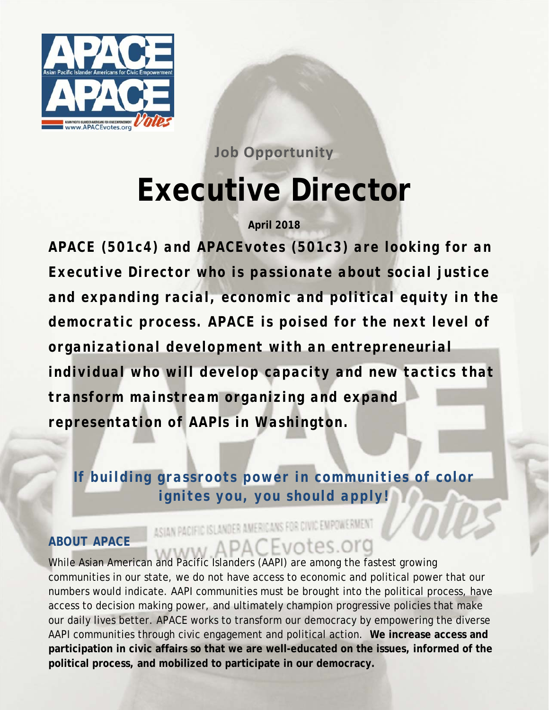

**Job Opportunity Executive Director** 

**April 2018** 

*APACE (501c4) and APACEvotes (501c3) are looking for an Executive Director who is passionate about social justice and expanding racial, economic and political equity in the democratic process. APACE is poised for the next level of organizational development with an entrepreneurial individual who will develop capacity and new tactics that transform mainstream organizing and expand representation of AAPIs in Washington.* 

*If building grassroots power in communities of color ignites you, you should apply!* 

# ASIAN PACIFIC ISLANDER AMERICANS FOR CIVIC EMPOWERMENT *ABOUT APACE*  ABOUT APACE<br>While Asian American and Pacific Islanders (AAPI) are among the fastest growing

communities in our state, we do not have access to economic and political power that our numbers would indicate. AAPI communities must be brought into the political process, have access to decision making power, and ultimately champion progressive policies that make our daily lives better. APACE works to transform our democracy by empowering the diverse AAPI communities through civic engagement and political action. **We increase access and participation in civic affairs so that we are well-educated on the issues, informed of the political process, and mobilized to participate in our democracy.**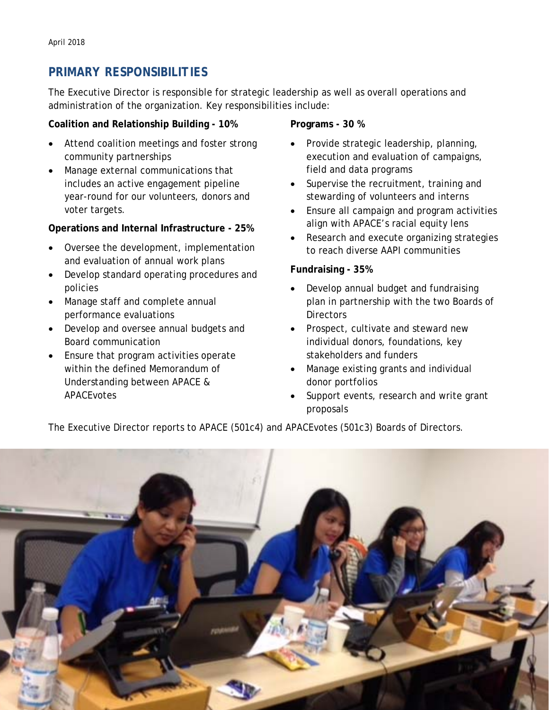# *PRIMARY RESPONSIBILITIES*

The Executive Director is responsible for strategic leadership as well as overall operations and administration of the organization. Key responsibilities include:

#### **Coalition and Relationship Building - 10%**

- Attend coalition meetings and foster strong community partnerships
- Manage external communications that includes an active engagement pipeline year-round for our volunteers, donors and voter targets.

#### **Operations and Internal Infrastructure - 25%**

- Oversee the development, implementation and evaluation of annual work plans
- Develop standard operating procedures and policies
- Manage staff and complete annual performance evaluations
- Develop and oversee annual budgets and Board communication
- Ensure that program activities operate within the defined Memorandum of Understanding between APACE & APACEvotes

#### **Programs - 30 %**

- Provide strategic leadership, planning, execution and evaluation of campaigns, field and data programs
- Supervise the recruitment, training and stewarding of volunteers and interns
- Ensure all campaign and program activities align with APACE's racial equity lens
- Research and execute organizing strategies to reach diverse AAPI communities

#### **Fundraising - 35%**

- Develop annual budget and fundraising plan in partnership with the two Boards of **Directors**
- Prospect, cultivate and steward new individual donors, foundations, key stakeholders and funders
- Manage existing grants and individual donor portfolios
- Support events, research and write grant proposals

The Executive Director reports to APACE (501c4) and APACEvotes (501c3) Boards of Directors.

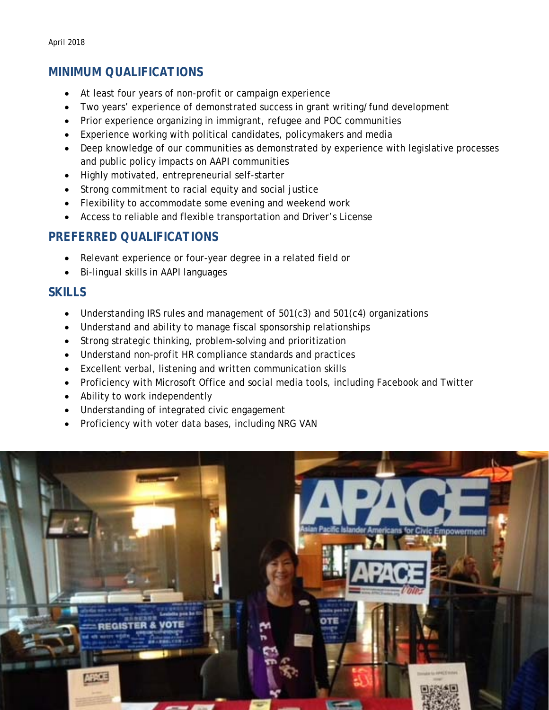# *MINIMUM QUALIFICATIONS*

- At least four years of non-profit or campaign experience
- Two years' experience of demonstrated success in grant writing/fund development
- Prior experience organizing in immigrant, refugee and POC communities
- Experience working with political candidates, policymakers and media
- Deep knowledge of our communities as demonstrated by experience with legislative processes and public policy impacts on AAPI communities
- Highly motivated, entrepreneurial self-starter
- Strong commitment to racial equity and social justice
- Flexibility to accommodate some evening and weekend work
- Access to reliable and flexible transportation and Driver's License

## *PREFERRED QUALIFICATIONS*

- Relevant experience or four-year degree in a related field or
- Bi-lingual skills in AAPI languages

## *SKILLS*

- Understanding IRS rules and management of 501(c3) and 501(c4) organizations
- Understand and ability to manage fiscal sponsorship relationships
- Strong strategic thinking, problem-solving and prioritization
- Understand non-profit HR compliance standards and practices
- Excellent verbal, listening and written communication skills
- Proficiency with Microsoft Office and social media tools, including Facebook and Twitter
- Ability to work independently
- Understanding of integrated civic engagement
- Proficiency with voter data bases, including NRG VAN